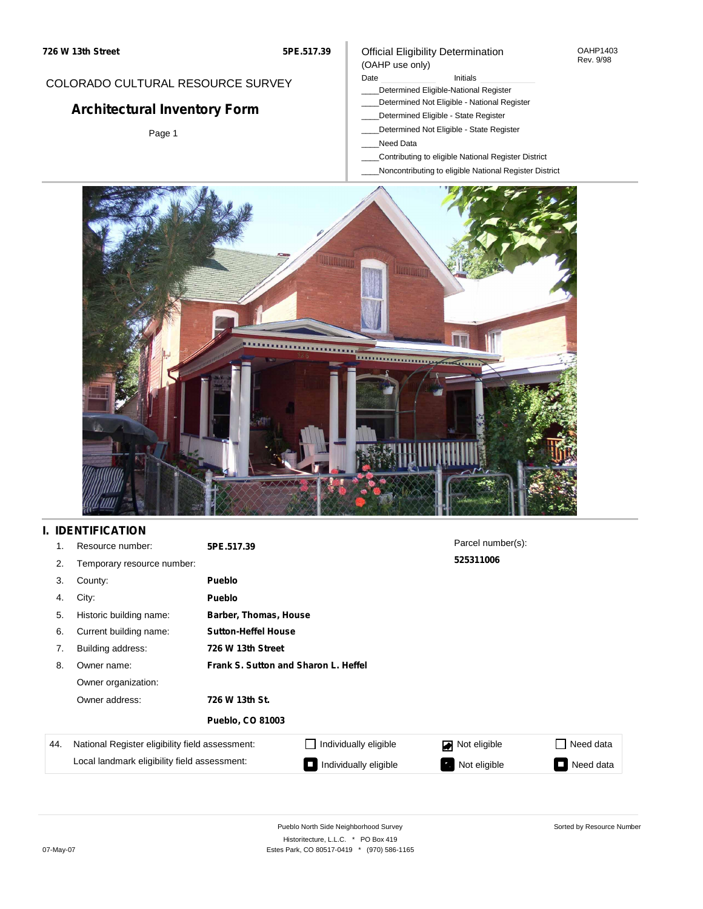#### OAHP1403 Rev. 9/98

## COLORADO CULTURAL RESOURCE SURVEY

# **Architectural Inventory Form**

Page 1

# (OAHP use only)

Official Eligibility Determination

Date **Initials** Initials

- \_\_\_\_Determined Eligible-National Register \_\_\_\_Determined Not Eligible - National Register
- \_\_\_\_Determined Eligible State Register
- \_\_\_\_Determined Not Eligible State Register
- \_\_\_\_Need Data
- \_\_\_\_Contributing to eligible National Register District
- \_\_\_\_Noncontributing to eligible National Register District



## **I. IDENTIFICATION**

| 1.  | Resource number:                                | 5PE.517.39                           |                       | Parcel number(s):        |           |  |  |  |
|-----|-------------------------------------------------|--------------------------------------|-----------------------|--------------------------|-----------|--|--|--|
| 2.  | Temporary resource number:                      |                                      |                       | 525311006                |           |  |  |  |
| 3.  | County:                                         | <b>Pueblo</b>                        |                       |                          |           |  |  |  |
| 4.  | City:                                           | <b>Pueblo</b>                        |                       |                          |           |  |  |  |
| 5.  | Historic building name:                         |                                      | Barber, Thomas, House |                          |           |  |  |  |
| 6.  | Current building name:                          | <b>Sutton-Heffel House</b>           |                       |                          |           |  |  |  |
| 7.  | Building address:                               | 726 W 13th Street                    |                       |                          |           |  |  |  |
| 8.  | Owner name:                                     | Frank S. Sutton and Sharon L. Heffel |                       |                          |           |  |  |  |
|     | Owner organization:                             |                                      |                       |                          |           |  |  |  |
|     | Owner address:                                  | 726 W 13th St.                       |                       |                          |           |  |  |  |
|     |                                                 | <b>Pueblo, CO 81003</b>              |                       |                          |           |  |  |  |
| 44. | National Register eligibility field assessment: |                                      | Individually eligible | Not eligible             | Need data |  |  |  |
|     | Local landmark eligibility field assessment:    |                                      | Individually eligible | Not eligible<br><b>A</b> | Need data |  |  |  |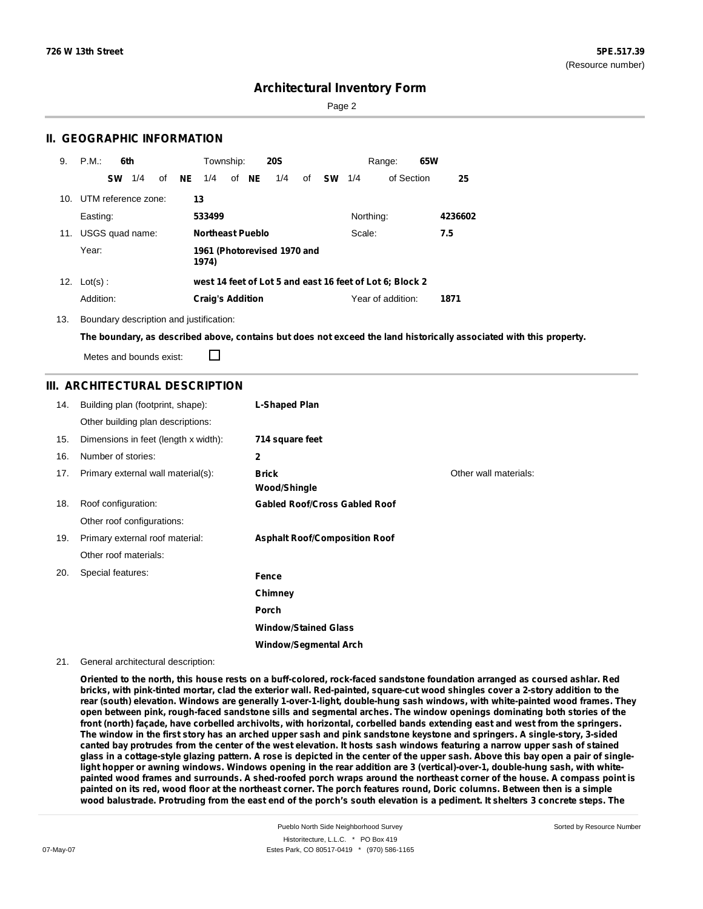Page 2

### **II. GEOGRAPHIC INFORMATION**

| 9.  | P.M.                | 6th       |                 |    |                         | Township:               |  |       | <b>20S</b>                  |    |           |           | Range:                                                   | 65W |         |
|-----|---------------------|-----------|-----------------|----|-------------------------|-------------------------|--|-------|-----------------------------|----|-----------|-----------|----------------------------------------------------------|-----|---------|
|     |                     | <b>SW</b> | 1/4             | of | NE                      | 1/4                     |  | of NE | 1/4                         | of | <b>SW</b> | 1/4       | of Section                                               |     | 25      |
| 10. | UTM reference zone: |           |                 |    |                         | 13                      |  |       |                             |    |           |           |                                                          |     |         |
|     | Easting:            |           |                 |    |                         | 533499                  |  |       |                             |    |           | Northing: |                                                          |     | 4236602 |
| 11. |                     |           | USGS quad name: |    | <b>Northeast Pueblo</b> |                         |  |       | Scale:                      |    |           |           | 7.5                                                      |     |         |
|     | Year:               |           |                 |    |                         | 1974)                   |  |       | 1961 (Photorevised 1970 and |    |           |           |                                                          |     |         |
|     | 12. $Lot(s)$ :      |           |                 |    |                         |                         |  |       |                             |    |           |           | west 14 feet of Lot 5 and east 16 feet of Lot 6; Block 2 |     |         |
|     | Addition:           |           |                 |    |                         | <b>Craig's Addition</b> |  |       |                             |    |           |           | Year of addition:                                        |     | 1871    |

13. Boundary description and justification:

The boundary, as described above, contains but does not exceed the land historically associated with this property.

Metes and bounds exist:

П

### **III. ARCHITECTURAL DESCRIPTION**

| 14. | Building plan (footprint, shape):    | L-Shaped Plan                        |                       |
|-----|--------------------------------------|--------------------------------------|-----------------------|
|     | Other building plan descriptions:    |                                      |                       |
| 15. | Dimensions in feet (length x width): | 714 square feet                      |                       |
| 16. | Number of stories:                   | $\mathbf{2}$                         |                       |
| 17. | Primary external wall material(s):   | <b>Brick</b><br><b>Wood/Shingle</b>  | Other wall materials: |
| 18. | Roof configuration:                  | <b>Gabled Roof/Cross Gabled Roof</b> |                       |
|     | Other roof configurations:           |                                      |                       |
| 19. | Primary external roof material:      | <b>Asphalt Roof/Composition Roof</b> |                       |
|     | Other roof materials:                |                                      |                       |
| 20. | Special features:                    | Fence                                |                       |
|     |                                      | Chimney                              |                       |
|     |                                      | Porch                                |                       |
|     |                                      | <b>Window/Stained Glass</b>          |                       |
|     |                                      | <b>Window/Segmental Arch</b>         |                       |

#### 21. General architectural description:

Oriented to the north, this house rests on a buff-colored, rock-faced sandstone foundation arranged as coursed ashlar. Red bricks, with pink-tinted mortar, clad the exterior wall. Red-painted, square-cut wood shingles cover a 2-story addition to the rear (south) elevation. Windows are generally 1-over-1-light, double-hung sash windows, with white-painted wood frames. They open between pink, rough-faced sandstone sills and segmental arches. The window openings dominating both stories of the front (north) façade, have corbelled archivolts, with horizontal, corbelled bands extending east and west from the springers. The window in the first story has an arched upper sash and pink sandstone keystone and springers. A single-story, 3-sided canted bay protrudes from the center of the west elevation. It hosts sash windows featuring a narrow upper sash of stained glass in a cottage-style glazing pattern. A rose is depicted in the center of the upper sash. Above this bay open a pair of singlelight hopper or awning windows. Windows opening in the rear addition are 3 (vertical)-over-1, double-hung sash, with whitepainted wood frames and surrounds. A shed-roofed porch wraps around the northeast corner of the house. A compass point is painted on its red, wood floor at the northeast corner. The porch features round, Doric columns. Between then is a simple wood balustrade. Protruding from the east end of the porch's south elevation is a pediment. It shelters 3 concrete steps. The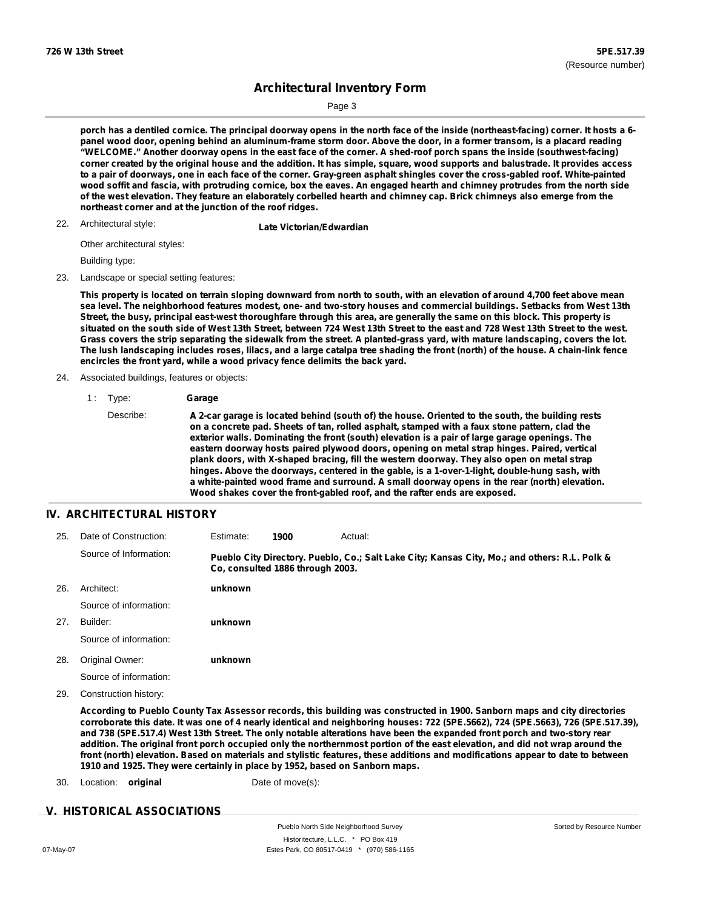Sorted by Resource Number

## **Architectural Inventory Form**

Page 3

porch has a dentiled cornice. The principal doorway opens in the north face of the inside (northeast-facing) corner. It hosts a 6panel wood door, opening behind an aluminum-frame storm door. Above the door, in a former transom, is a placard reading "WELCOME." Another doorway opens in the east face of the corner. A shed-roof porch spans the inside (southwest-facing) corner created by the original house and the addition. It has simple, square, wood supports and balustrade. It provides access to a pair of doorways, one in each face of the corner. Gray-green asphalt shingles cover the cross-gabled roof. White-painted wood soffit and fascia, with protruding cornice, box the eaves. An engaged hearth and chimney protrudes from the north side of the west elevation. They feature an elaborately corbelled hearth and chimney cap. Brick chimneys also emerge from the **northeast corner and at the junction of the roof ridges.**

#### 22. Architectural style:

**Late Victorian/Edwardian** 

Other architectural styles:

Building type:

#### 23. Landscape or special setting features:

This property is located on terrain sloping downward from north to south, with an elevation of around 4,700 feet above mean sea level. The neighborhood features modest, one- and two-story houses and commercial buildings. Setbacks from West 13th Street, the busy, principal east-west thoroughfare through this area, are generally the same on this block. This property is situated on the south side of West 13th Street, between 724 West 13th Street to the east and 728 West 13th Street to the west. Grass covers the strip separating the sidewalk from the street. A planted-grass yard, with mature landscaping, covers the lot. The lush landscaping includes roses, lilacs, and a large catalpa tree shading the front (north) of the house. A chain-link fence **encircles the front yard, while a wood privacy fence delimits the back yard.**

#### 24. Associated buildings, features or objects:

1 : Type: **Garage**

### **IV. ARCHITECTURAL HISTORY**

| 25. | Date of Construction:  | Estimate:                        | 1900 | Actual: |                                                                                               |  |
|-----|------------------------|----------------------------------|------|---------|-----------------------------------------------------------------------------------------------|--|
|     | Source of Information: | Co. consulted 1886 through 2003. |      |         | Pueblo City Directory. Pueblo, Co.; Salt Lake City; Kansas City, Mo.; and others: R.L. Polk & |  |
| 26. | Architect:             | unknown                          |      |         |                                                                                               |  |
|     | Source of information: |                                  |      |         |                                                                                               |  |
| 27. | Builder:               | unknown                          |      |         |                                                                                               |  |
|     | Source of information: |                                  |      |         |                                                                                               |  |
| 28. | Original Owner:        | unknown                          |      |         |                                                                                               |  |
|     | Source of information: |                                  |      |         |                                                                                               |  |
| 29. | Construction history:  |                                  |      |         |                                                                                               |  |

According to Pueblo County Tax Assessor records, this building was constructed in 1900. Sanborn maps and city directories corroborate this date. It was one of 4 nearly identical and neighboring houses: 722 (5PE.5662), 724 (5PE.5663), 726 (5PE.517.39), and 738 (5PE.517.4) West 13th Street. The only notable alterations have been the expanded front porch and two-story rear addition. The original front porch occupied only the northernmost portion of the east elevation, and did not wrap around the front (north) elevation. Based on materials and stylistic features, these additions and modifications appear to date to between **1910 and 1925. They were certainly in place by 1952, based on Sanborn maps.**

30. Location: **original** Date of move(s):

#### **V. HISTORICAL ASSOCIATIONS**

Pueblo North Side Neighborhood Survey Historitecture, L.L.C. \* PO Box 419 07-May-07 Estes Park, CO 80517-0419 \* (970) 586-1165

Describe: A 2-car garage is located behind (south of) the house. Oriented to the south, the building rests **on a concrete pad. Sheets of tan, rolled asphalt, stamped with a faux stone pattern, clad the exterior walls. Dominating the front (south) elevation is a pair of large garage openings. The eastern doorway hosts paired plywood doors, opening on metal strap hinges. Paired, vertical plank doors, with X-shaped bracing, fill the western doorway. They also open on metal strap hinges. Above the doorways, centered in the gable, is a 1-over-1-light, double-hung sash, with a white-painted wood frame and surround. A small doorway opens in the rear (north) elevation. Wood shakes cover the front-gabled roof, and the rafter ends are exposed.**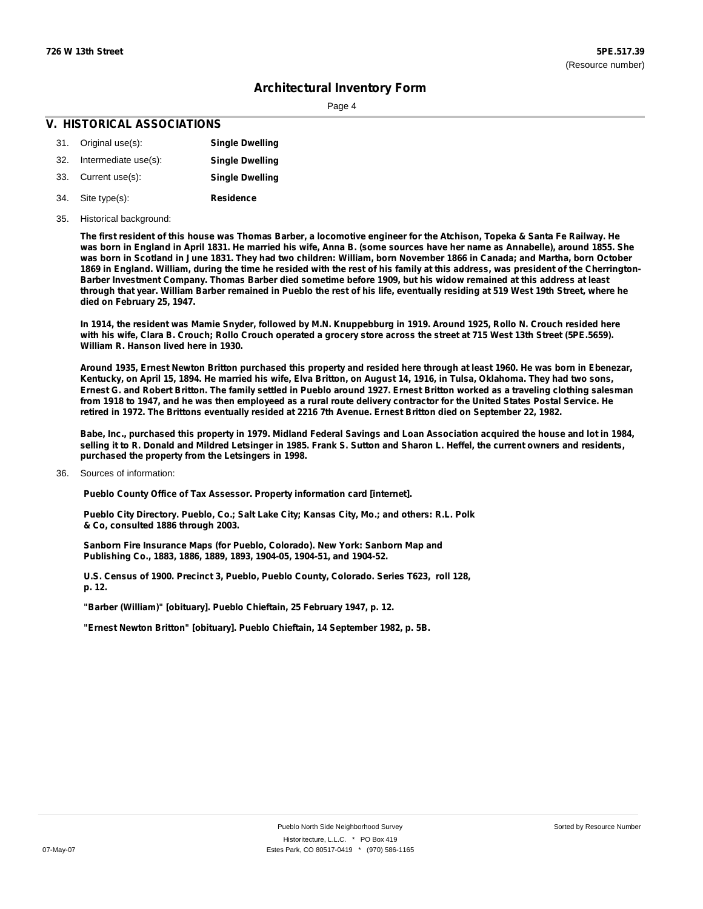Page 4

### **V. HISTORICAL ASSOCIATIONS**

- 31. Original use(s): 32. Intermediate use(s): 33. Current use(s): **Single Dwelling Single Dwelling Single Dwelling**
- **Residence** Site type(s): 34.

#### 35. Historical background:

The first resident of this house was Thomas Barber, a locomotive engineer for the Atchison, Topeka & Santa Fe Railway. He was born in England in April 1831. He married his wife, Anna B. (some sources have her name as Annabelle), around 1855. She was born in Scotland in June 1831. They had two children: William, born November 1866 in Canada; and Martha, born October 1869 in England. William, during the time he resided with the rest of his family at this address, was president of the Cherrington-Barber Investment Company. Thomas Barber died sometime before 1909, but his widow remained at this address at least through that year. William Barber remained in Pueblo the rest of his life, eventually residing at 519 West 19th Street, where he **died on February 25, 1947.**

In 1914, the resident was Mamie Snyder, followed by M.N. Knuppebburg in 1919. Around 1925, Rollo N. Crouch resided here with his wife, Clara B. Crouch; Rollo Crouch operated a grocery store across the street at 715 West 13th Street (5PE.5659). **William R. Hanson lived here in 1930.**

Around 1935, Ernest Newton Britton purchased this property and resided here through at least 1960. He was born in Ebenezar, Kentucky, on April 15, 1894. He married his wife, Elva Britton, on August 14, 1916, in Tulsa, Oklahoma. They had two sons, Ernest G. and Robert Britton. The family settled in Pueblo around 1927. Ernest Britton worked as a traveling clothing salesman from 1918 to 1947, and he was then employeed as a rural route delivery contractor for the United States Postal Service. He retired in 1972. The Brittons eventually resided at 2216 7th Avenue. Ernest Britton died on September 22, 1982.

Babe, Inc., purchased this property in 1979. Midland Federal Savings and Loan Association acquired the house and lot in 1984, selling it to R. Donald and Mildred Letsinger in 1985. Frank S. Sutton and Sharon L. Heffel, the current owners and residents, **purchased the property from the Letsingers in 1998.**

Sources of information: 36.

**Pueblo County Office of Tax Assessor. Property information card [internet].**

**Pueblo City Directory. Pueblo, Co.; Salt Lake City; Kansas City, Mo.; and others: R.L. Polk & Co, consulted 1886 through 2003.**

**Sanborn Fire Insurance Maps (for Pueblo, Colorado). New York: Sanborn Map and Publishing Co., 1883, 1886, 1889, 1893, 1904-05, 1904-51, and 1904-52.**

**U.S. Census of 1900. Precinct 3, Pueblo, Pueblo County, Colorado. Series T623, roll 128, p. 12.**

**"Barber (William)" [obituary]. Pueblo Chieftain, 25 February 1947, p. 12.**

**"Ernest Newton Britton" [obituary]. Pueblo Chieftain, 14 September 1982, p. 5B.**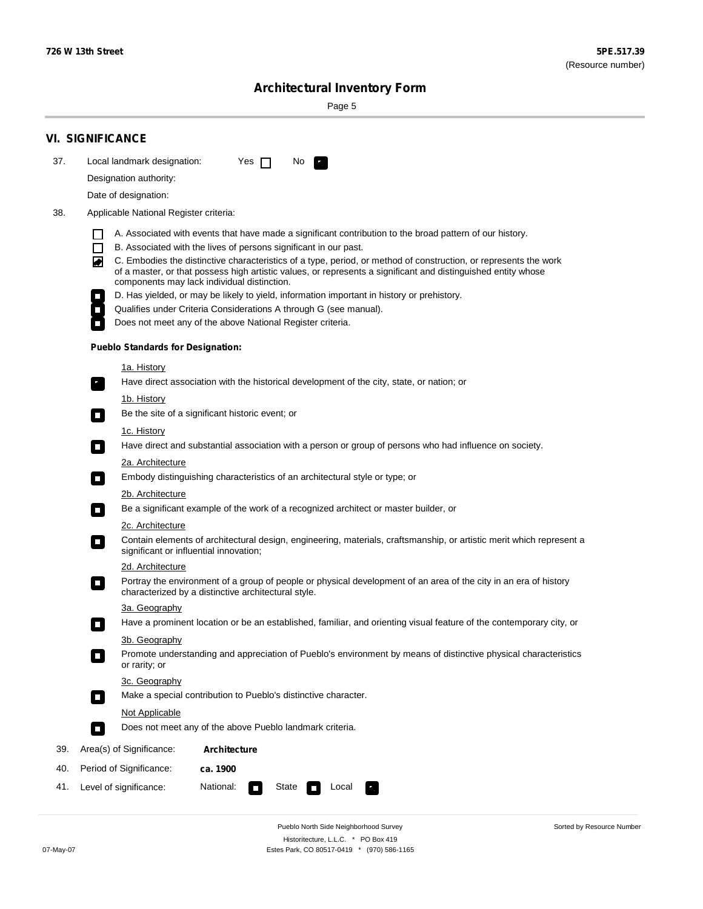Sorted by Resource Number

# **Architectural Inventory Form**

Page 5

|     | <b>VI. SIGNIFICANCE</b>                                                                                                                                                                                                                                                          |  |  |  |  |  |  |  |  |
|-----|----------------------------------------------------------------------------------------------------------------------------------------------------------------------------------------------------------------------------------------------------------------------------------|--|--|--|--|--|--|--|--|
| 37. | Local landmark designation:<br>Yes $\Box$<br>No.                                                                                                                                                                                                                                 |  |  |  |  |  |  |  |  |
|     | Designation authority:                                                                                                                                                                                                                                                           |  |  |  |  |  |  |  |  |
|     | Date of designation:                                                                                                                                                                                                                                                             |  |  |  |  |  |  |  |  |
| 38. | Applicable National Register criteria:                                                                                                                                                                                                                                           |  |  |  |  |  |  |  |  |
|     | A. Associated with events that have made a significant contribution to the broad pattern of our history.                                                                                                                                                                         |  |  |  |  |  |  |  |  |
|     | B. Associated with the lives of persons significant in our past.                                                                                                                                                                                                                 |  |  |  |  |  |  |  |  |
|     | C. Embodies the distinctive characteristics of a type, period, or method of construction, or represents the work<br>of a master, or that possess high artistic values, or represents a significant and distinguished entity whose<br>components may lack individual distinction. |  |  |  |  |  |  |  |  |
|     | D. Has yielded, or may be likely to yield, information important in history or prehistory.                                                                                                                                                                                       |  |  |  |  |  |  |  |  |
|     | Qualifies under Criteria Considerations A through G (see manual).                                                                                                                                                                                                                |  |  |  |  |  |  |  |  |
|     | Does not meet any of the above National Register criteria.                                                                                                                                                                                                                       |  |  |  |  |  |  |  |  |
|     | <b>Pueblo Standards for Designation:</b>                                                                                                                                                                                                                                         |  |  |  |  |  |  |  |  |
|     | <u>1a. History</u>                                                                                                                                                                                                                                                               |  |  |  |  |  |  |  |  |
|     | Have direct association with the historical development of the city, state, or nation; or<br>$\overline{\phantom{a}}$ .                                                                                                                                                          |  |  |  |  |  |  |  |  |
|     | <u>1b. History</u>                                                                                                                                                                                                                                                               |  |  |  |  |  |  |  |  |
|     | Be the site of a significant historic event; or<br>$\Box$                                                                                                                                                                                                                        |  |  |  |  |  |  |  |  |
|     | 1c. History<br>Have direct and substantial association with a person or group of persons who had influence on society.<br>$\sim$                                                                                                                                                 |  |  |  |  |  |  |  |  |
|     | 2a. Architecture                                                                                                                                                                                                                                                                 |  |  |  |  |  |  |  |  |
|     | Embody distinguishing characteristics of an architectural style or type; or<br>$\overline{\phantom{a}}$                                                                                                                                                                          |  |  |  |  |  |  |  |  |
|     | 2b. Architecture                                                                                                                                                                                                                                                                 |  |  |  |  |  |  |  |  |
|     | Be a significant example of the work of a recognized architect or master builder, or<br>$\overline{\phantom{a}}$                                                                                                                                                                 |  |  |  |  |  |  |  |  |
|     | 2c. Architecture                                                                                                                                                                                                                                                                 |  |  |  |  |  |  |  |  |
|     | Contain elements of architectural design, engineering, materials, craftsmanship, or artistic merit which represent a<br>$\mathcal{L}_{\mathcal{A}}$<br>significant or influential innovation;                                                                                    |  |  |  |  |  |  |  |  |
|     | 2d. Architecture                                                                                                                                                                                                                                                                 |  |  |  |  |  |  |  |  |
|     | Portray the environment of a group of people or physical development of an area of the city in an era of history<br>$\mathcal{L}_{\mathcal{A}}$<br>characterized by a distinctive architectural style.                                                                           |  |  |  |  |  |  |  |  |
|     | 3a. Geography                                                                                                                                                                                                                                                                    |  |  |  |  |  |  |  |  |
|     | Have a prominent location or be an established, familiar, and orienting visual feature of the contemporary city, or<br>П                                                                                                                                                         |  |  |  |  |  |  |  |  |
|     | 3b. Geography                                                                                                                                                                                                                                                                    |  |  |  |  |  |  |  |  |
|     | Promote understanding and appreciation of Pueblo's environment by means of distinctive physical characteristics<br>or rarity; or                                                                                                                                                 |  |  |  |  |  |  |  |  |
|     | 3c. Geography                                                                                                                                                                                                                                                                    |  |  |  |  |  |  |  |  |
|     | Make a special contribution to Pueblo's distinctive character.<br>О                                                                                                                                                                                                              |  |  |  |  |  |  |  |  |
|     | Not Applicable                                                                                                                                                                                                                                                                   |  |  |  |  |  |  |  |  |
|     | Does not meet any of the above Pueblo landmark criteria.<br>$\overline{\phantom{a}}$                                                                                                                                                                                             |  |  |  |  |  |  |  |  |
| 39. | Area(s) of Significance:<br><b>Architecture</b>                                                                                                                                                                                                                                  |  |  |  |  |  |  |  |  |
| 40. | Period of Significance:<br>ca. 1900                                                                                                                                                                                                                                              |  |  |  |  |  |  |  |  |
| 41. | National:<br>Level of significance:<br>State<br>Local<br>$\overline{\phantom{a}}$                                                                                                                                                                                                |  |  |  |  |  |  |  |  |

Pueblo North Side Neighborhood Survey Historitecture, L.L.C. \* PO Box 419 07-May-07 Estes Park, CO 80517-0419 \* (970) 586-1165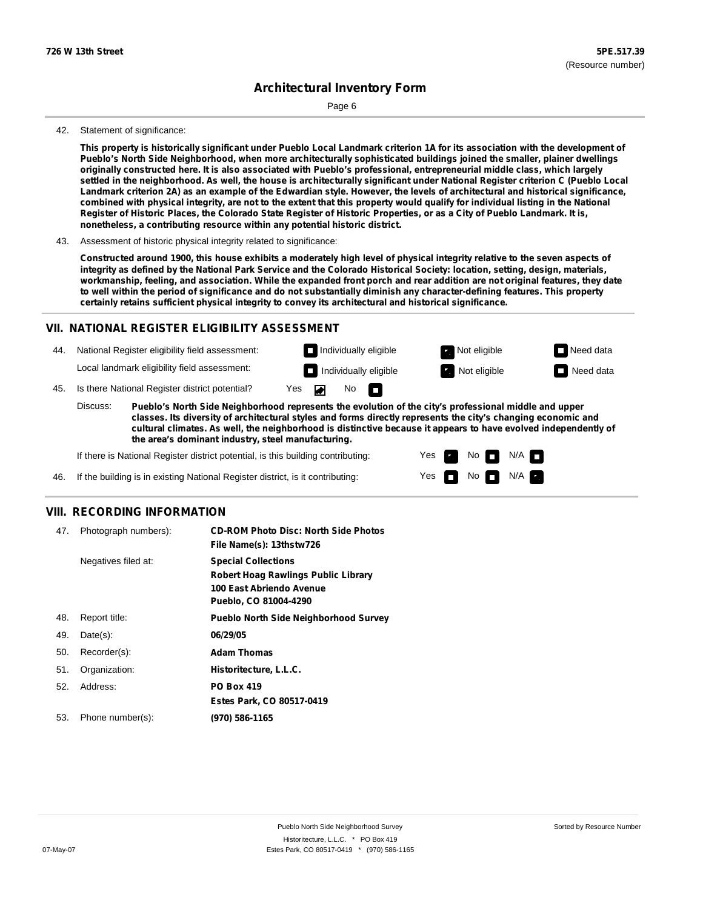Page 6

#### 42. Statement of significance:

This property is historically significant under Pueblo Local Landmark criterion 1A for its association with the development of **Pueblo's North Side Neighborhood, when more architecturally sophisticated buildings joined the smaller, plainer dwellings** originally constructed here. It is also associated with Pueblo's professional, entrepreneurial middle class, which largely settled in the neighborhood. As well, the house is architecturally significant under National Register criterion C (Pueblo Local Landmark criterion 2A) as an example of the Edwardian style. However, the levels of architectural and historical significance, combined with physical integrity, are not to the extent that this property would qualify for individual listing in the National Register of Historic Places, the Colorado State Register of Historic Properties, or as a City of Pueblo Landmark. It is, **nonetheless, a contributing resource within any potential historic district.**

43. Assessment of historic physical integrity related to significance:

Constructed around 1900, this house exhibits a moderately high level of physical integrity relative to the seven aspects of integrity as defined by the National Park Service and the Colorado Historical Society: location, setting, design, materials, workmanship, feeling, and association. While the expanded front porch and rear addition are not original features, they date to well within the period of significance and do not substantially diminish any character-defining features. This property **certainly retains sufficient physical integrity to convey its architectural and historical significance.**

### **VII. NATIONAL REGISTER ELIGIBILITY ASSESSMENT**

**Individually eligible Not eligible** Not eligible **Need data** 44. National Register eligibility field assessment: Local landmark eligibility field assessment: **Individually eligible Not eligible** Not eligible **Need data** 45. Is there National Register district potential? Yes ▰ No IT.

**Pueblo's North Side Neighborhood represents the evolution of the city's professional middle and upper classes. Its diversity of architectural styles and forms directly represents the city's changing economic and cultural climates. As well, the neighborhood is distinctive because it appears to have evolved independently of the area's dominant industry, steel manufacturing.** Discuss:

> Yes Yes

No

 $No$   $M/A$ 

N/A

If there is National Register district potential, is this building contributing:

If the building is in existing National Register district, is it contributing: 46.

### **VIII. RECORDING INFORMATION**

| 47. | Photograph numbers): | <b>CD-ROM Photo Disc: North Side Photos</b><br>File Name(s): 13thstw726                                                       |
|-----|----------------------|-------------------------------------------------------------------------------------------------------------------------------|
|     | Negatives filed at:  | <b>Special Collections</b><br><b>Robert Hoag Rawlings Public Library</b><br>100 East Abriendo Avenue<br>Pueblo, CO 81004-4290 |
| 48. | Report title:        | <b>Pueblo North Side Neighborhood Survey</b>                                                                                  |
| 49. | $Date(s)$ :          | 06/29/05                                                                                                                      |
| 50. | Recorder(s):         | <b>Adam Thomas</b>                                                                                                            |
| 51. | Organization:        | Historitecture, L.L.C.                                                                                                        |
| 52. | Address:             | <b>PO Box 419</b>                                                                                                             |
|     |                      | Estes Park, CO 80517-0419                                                                                                     |
| 53. | Phone number(s):     | (970) 586-1165                                                                                                                |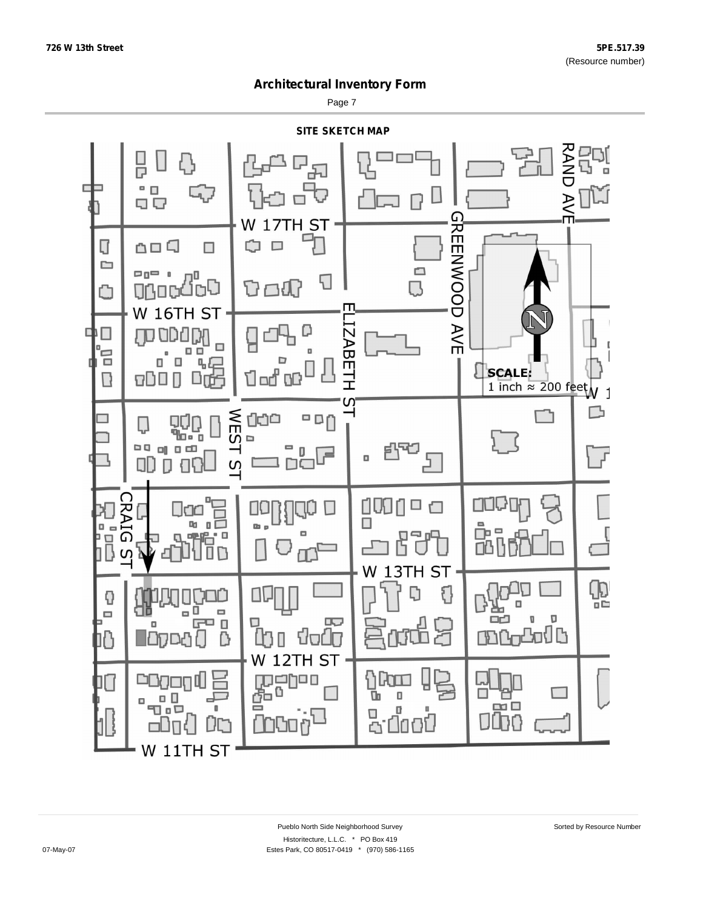Page 7